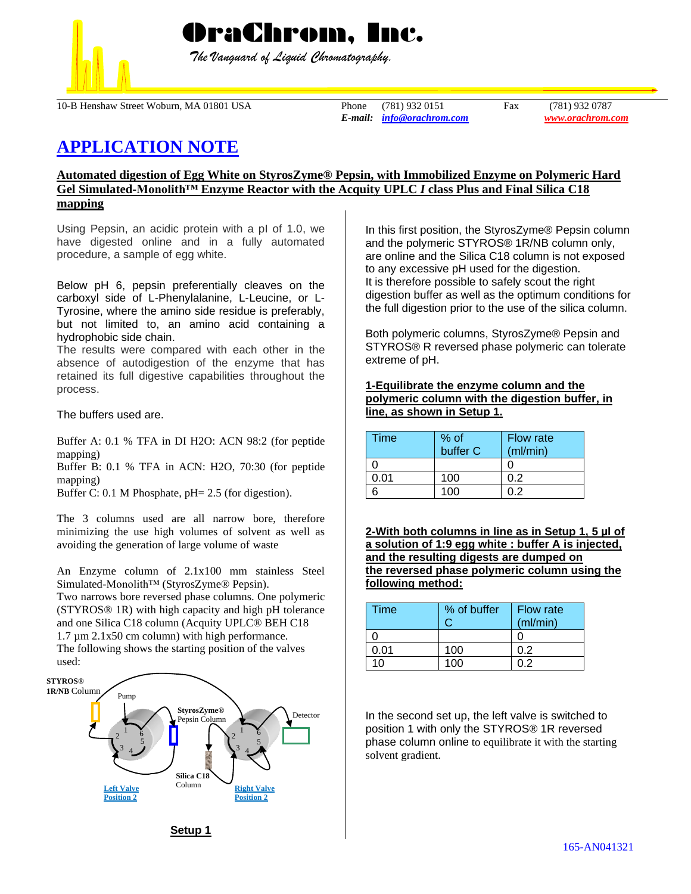

 *The Vanguard of Liquid Chromatography.*

10-B Henshaw Street Woburn, MA 01801 USA Phone (781) 932 0151 Fax (781) 932 0787

*E-mail: [info@orachrom.com](mailto:info@orachrom.com) www.orachrom.com*

# **APPLICATION NOTE**

# **Automated digestion of Egg White on StyrosZyme® Pepsin, with Immobilized Enzyme on Polymeric Hard Gel Simulated-Monolith™ Enzyme Reactor with the Acquity UPLC** *I* **class Plus and Final Silica C18 mapping**

Using Pepsin, an acidic protein with a pI of 1.0, we have digested online and in a fully automated procedure, a sample of egg white.

Below pH 6, pepsin preferentially cleaves on the carboxyl side of L-Phenylalanine, L-Leucine, or L-Tyrosine, where the amino side residue is preferably, but not limited to, an amino acid containing a hydrophobic side chain.

The results were compared with each other in the absence of autodigestion of the enzyme that has retained its full digestive capabilities throughout the process.

The buffers used are.

Buffer A: 0.1 % TFA in DI H2O: ACN 98:2 (for peptide mapping)

Buffer B: 0.1 % TFA in ACN: H2O, 70:30 (for peptide mapping)

Buffer C: 0.1 M Phosphate, pH= 2.5 (for digestion).

The 3 columns used are all narrow bore, therefore minimizing the use high volumes of solvent as well as avoiding the generation of large volume of waste

An Enzyme column of 2.1x100 mm stainless Steel Simulated-Monolith™ (StyrosZyme® Pepsin).

Two narrows bore reversed phase columns. One polymeric (STYROS® 1R) with high capacity and high pH tolerance and one Silica C18 column (Acquity UPLC® BEH C18 1.7 µm 2.1x50 cm column) with high performance.

The following shows the starting position of the valves used:



In this first position, the StyrosZyme® Pepsin column and the polymeric STYROS® 1R/NB column only, are online and the Silica C18 column is not exposed to any excessive pH used for the digestion. It is therefore possible to safely scout the right digestion buffer as well as the optimum conditions for the full digestion prior to the use of the silica column.

Both polymeric columns, StyrosZyme® Pepsin and STYROS® R reversed phase polymeric can tolerate extreme of pH.

## **1-Equilibrate the enzyme column and the polymeric column with the digestion buffer, in line, as shown in Setup 1.**

| Time | % of<br>buffer C | Flow rate<br>(ml/min) |
|------|------------------|-----------------------|
|      |                  |                       |
| ገ በ1 | 100              |                       |
|      | 1ሰበ              |                       |

**2-With both columns in line as in Setup 1, 5 µl of a solution of 1:9 egg white : buffer A is injected, and the resulting digests are dumped on the reversed phase polymeric column using the following method:**

| <b>Time</b> | % of buffer | <b>Flow rate</b><br>(mI/min) |
|-------------|-------------|------------------------------|
|             |             |                              |
| 0.01        | 100         | 0.2                          |
| 1∩          | 100         | በ 2                          |

In the second set up, the left valve is switched to position 1 with only the STYROS® 1R reversed phase column online to equilibrate it with the starting solvent gradient.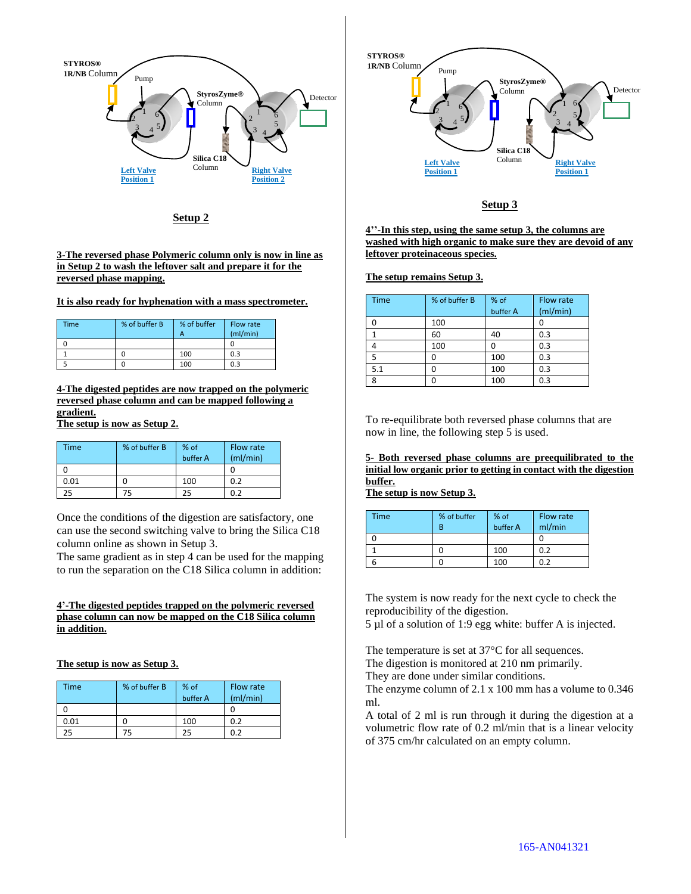

**Setup 2**

#### **3-The reversed phase Polymeric column only is now in line as in Setup 2 to wash the leftover salt and prepare it for the reversed phase mapping.**

**It is also ready for hyphenation with a mass spectrometer.** 

| Time | % of buffer B | % of buffer<br>А | Flow rate<br>(mI/min) |
|------|---------------|------------------|-----------------------|
|      |               |                  |                       |
|      |               | 100              | 0.3                   |
|      |               | 100              | 0.3                   |

**4-The digested peptides are now trapped on the polymeric reversed phase column and can be mapped following a gradient. The setup is now as Setup 2.**

| Time | % of buffer B | % of<br>buffer A | Flow rate<br>(mI/min) |
|------|---------------|------------------|-----------------------|
|      |               |                  |                       |
| 0.01 |               | 100              | 0.2                   |
| 25   | 75            | 25               | በ ን                   |

Once the conditions of the digestion are satisfactory, one can use the second switching valve to bring the Silica C18 column online as shown in Setup 3.

The same gradient as in step 4 can be used for the mapping to run the separation on the C18 Silica column in addition:

## **4'-The digested peptides trapped on the polymeric reversed phase column can now be mapped on the C18 Silica column in addition.**

**The setup is now as Setup 3.**

| Time | % of buffer B | % of<br>buffer A | Flow rate<br>(mI/min) |
|------|---------------|------------------|-----------------------|
|      |               |                  |                       |
| 0.01 |               | 100              | 0.2                   |
| 25   | 75            | 25.              | በ ን                   |



# **Setup 3**

**4''-In this step, using the same setup 3, the columns are washed with high organic to make sure they are devoid of any leftover proteinaceous species.**

### **The setup remains Setup 3.**

| <b>Time</b> | % of buffer B | % of<br>buffer A | Flow rate<br>(mI/min) |
|-------------|---------------|------------------|-----------------------|
|             | 100           |                  |                       |
|             | 60            | 40               | 0.3                   |
|             | 100           |                  | 0.3                   |
| 5           |               | 100              | 0.3                   |
| 5.1         | በ             | 100              | 0.3                   |
| 8           |               | 100              | 0.3                   |

To re-equilibrate both reversed phase columns that are now in line, the following step 5 is used.

**5- Both reversed phase columns are preequilibrated to the initial low organic prior to getting in contact with the digestion buffer.** 

**The setup is now Setup 3.**

| <b>Time</b> | % of buffer<br>R | % of<br>buffer A | Flow rate<br>ml/min |
|-------------|------------------|------------------|---------------------|
|             |                  |                  |                     |
|             |                  | 100              | 0.2                 |
|             |                  | 100              | በ ን                 |

The system is now ready for the next cycle to check the reproducibility of the digestion.

5 µl of a solution of 1:9 egg white: buffer A is injected.

The temperature is set at 37°C for all sequences.

The digestion is monitored at 210 nm primarily.

They are done under similar conditions.

The enzyme column of 2.1 x 100 mm has a volume to 0.346 ml.

A total of 2 ml is run through it during the digestion at a volumetric flow rate of 0.2 ml/min that is a linear velocity of 375 cm/hr calculated on an empty column.